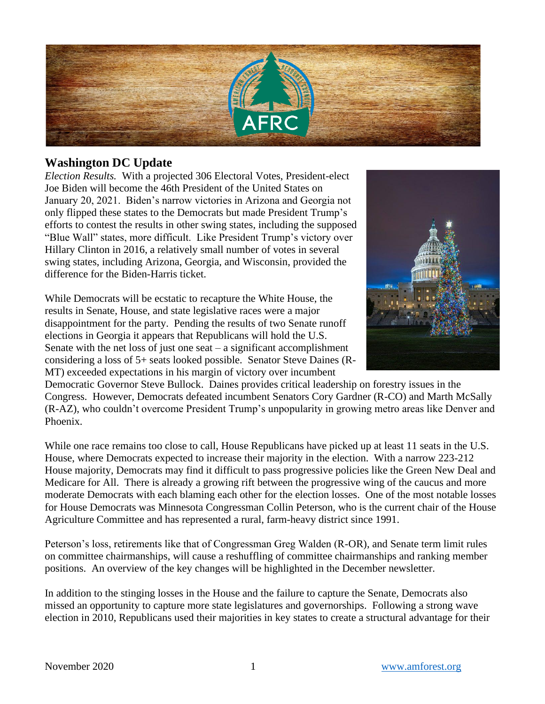

## **Washington DC Update**

*Election Results.* With a projected 306 Electoral Votes, President-elect Joe Biden will become the 46th President of the United States on January 20, 2021. Biden's narrow victories in Arizona and Georgia not only flipped these states to the Democrats but made President Trump's efforts to contest the results in other swing states, including the supposed "Blue Wall" states, more difficult. Like President Trump's victory over Hillary Clinton in 2016, a relatively small number of votes in several swing states, including Arizona, Georgia, and Wisconsin, provided the difference for the Biden-Harris ticket.

While Democrats will be ecstatic to recapture the White House, the results in Senate, House, and state legislative races were a major disappointment for the party. Pending the results of two Senate runoff elections in Georgia it appears that Republicans will hold the U.S. Senate with the net loss of just one seat  $-$  a significant accomplishment considering a loss of 5+ seats looked possible. Senator Steve Daines (R-MT) exceeded expectations in his margin of victory over incumbent



Democratic Governor Steve Bullock. Daines provides critical leadership on forestry issues in the Congress. However, Democrats defeated incumbent Senators Cory Gardner (R-CO) and Marth McSally (R-AZ), who couldn't overcome President Trump's unpopularity in growing metro areas like Denver and Phoenix.

While one race remains too close to call, House Republicans have picked up at least 11 seats in the U.S. House, where Democrats expected to increase their majority in the election. With a narrow 223-212 House majority, Democrats may find it difficult to pass progressive policies like the Green New Deal and Medicare for All. There is already a growing rift between the progressive wing of the caucus and more moderate Democrats with each blaming each other for the election losses. One of the most notable losses for House Democrats was Minnesota Congressman Collin Peterson, who is the current chair of the House Agriculture Committee and has represented a rural, farm-heavy district since 1991.

Peterson's loss, retirements like that of Congressman Greg Walden (R-OR), and Senate term limit rules on committee chairmanships, will cause a reshuffling of committee chairmanships and ranking member positions. An overview of the key changes will be highlighted in the December newsletter.

In addition to the stinging losses in the House and the failure to capture the Senate, Democrats also missed an opportunity to capture more state legislatures and governorships. Following a strong wave election in 2010, Republicans used their majorities in key states to create a structural advantage for their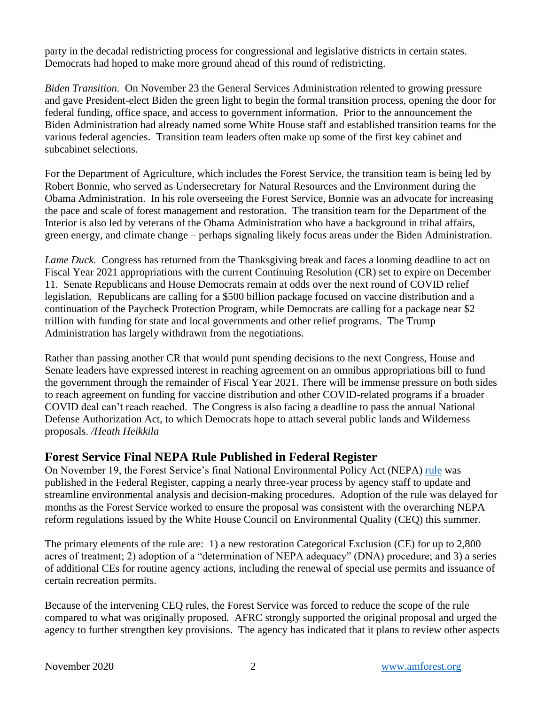party in the decadal redistricting process for congressional and legislative districts in certain states. Democrats had hoped to make more ground ahead of this round of redistricting.

*Biden Transition.* On November 23 the General Services Administration relented to growing pressure and gave President-elect Biden the green light to begin the formal transition process, opening the door for federal funding, office space, and access to government information. Prior to the announcement the Biden Administration had already named some White House staff and established transition teams for the various federal agencies. Transition team leaders often make up some of the first key cabinet and subcabinet selections.

For the Department of Agriculture, which includes the Forest Service, the transition team is being led by Robert Bonnie, who served as Undersecretary for Natural Resources and the Environment during the Obama Administration. In his role overseeing the Forest Service, Bonnie was an advocate for increasing the pace and scale of forest management and restoration. The transition team for the Department of the Interior is also led by veterans of the Obama Administration who have a background in tribal affairs, green energy, and climate change – perhaps signaling likely focus areas under the Biden Administration.

*Lame Duck.* Congress has returned from the Thanksgiving break and faces a looming deadline to act on Fiscal Year 2021 appropriations with the current Continuing Resolution (CR) set to expire on December 11. Senate Republicans and House Democrats remain at odds over the next round of COVID relief legislation. Republicans are calling for a \$500 billion package focused on vaccine distribution and a continuation of the Paycheck Protection Program, while Democrats are calling for a package near \$2 trillion with funding for state and local governments and other relief programs. The Trump Administration has largely withdrawn from the negotiations.

Rather than passing another CR that would punt spending decisions to the next Congress, House and Senate leaders have expressed interest in reaching agreement on an omnibus appropriations bill to fund the government through the remainder of Fiscal Year 2021. There will be immense pressure on both sides to reach agreement on funding for vaccine distribution and other COVID-related programs if a broader COVID deal can't reach reached. The Congress is also facing a deadline to pass the annual National Defense Authorization Act, to which Democrats hope to attach several public lands and Wilderness proposals. */Heath Heikkila*

## **Forest Service Final NEPA Rule Published in Federal Register**

On November 19, the Forest Service's final National Environmental Policy Act (NEPA) [rule](https://www.federalregister.gov/documents/2020/11/19/2020-25465/national-environmental-policy-act-nepa-compliance) was published in the Federal Register, capping a nearly three-year process by agency staff to update and streamline environmental analysis and decision-making procedures. Adoption of the rule was delayed for months as the Forest Service worked to ensure the proposal was consistent with the overarching NEPA reform regulations issued by the White House Council on Environmental Quality (CEQ) this summer.

The primary elements of the rule are: 1) a new restoration Categorical Exclusion (CE) for up to 2,800 acres of treatment; 2) adoption of a "determination of NEPA adequacy" (DNA) procedure; and 3) a series of additional CEs for routine agency actions, including the renewal of special use permits and issuance of certain recreation permits.

Because of the intervening CEQ rules, the Forest Service was forced to reduce the scope of the rule compared to what was originally proposed. AFRC strongly supported the original proposal and urged the agency to further strengthen key provisions. The agency has indicated that it plans to review other aspects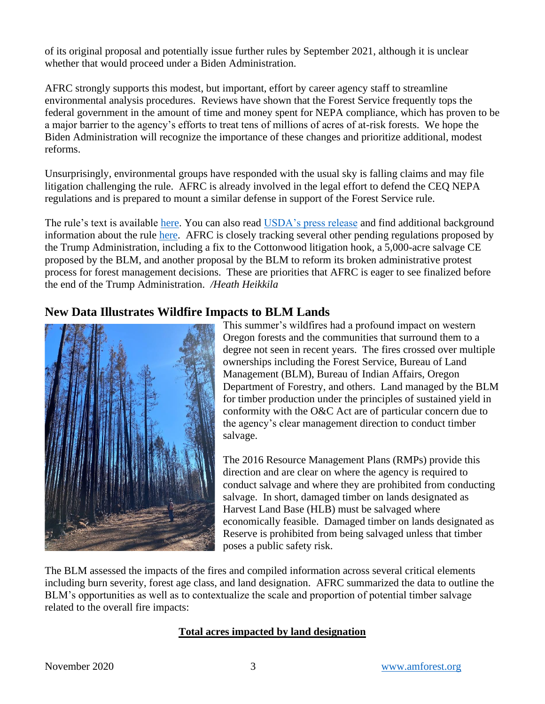of its original proposal and potentially issue further rules by September 2021, although it is unclear whether that would proceed under a Biden Administration.

AFRC strongly supports this modest, but important, effort by career agency staff to streamline environmental analysis procedures. Reviews have shown that the Forest Service frequently tops the federal government in the amount of time and money spent for NEPA compliance, which has proven to be a major barrier to the agency's efforts to treat tens of millions of acres of at-risk forests. We hope the Biden Administration will recognize the importance of these changes and prioritize additional, modest reforms.

Unsurprisingly, environmental groups have responded with the usual sky is falling claims and may file litigation challenging the rule. AFRC is already involved in the legal effort to defend the CEQ NEPA regulations and is prepared to mount a similar defense in support of the Forest Service rule.

The rule's text is available [here.](https://www.federalregister.gov/documents/2020/11/19/2020-25465/national-environmental-policy-act-nepa-compliance) You can also read [USDA's press release](https://www.usda.gov/media/press-releases/2020/11/18/usda-forest-service-announces-key-changes-nepa-procedures) and find additional background information about the rule [here.](https://www.fs.fed.us/emc/nepa/nepa_procedures/index.shtml) AFRC is closely tracking several other pending regulations proposed by the Trump Administration, including a fix to the Cottonwood litigation hook, a 5,000-acre salvage CE proposed by the BLM, and another proposal by the BLM to reform its broken administrative protest process for forest management decisions. These are priorities that AFRC is eager to see finalized before the end of the Trump Administration. */Heath Heikkila*

## **New Data Illustrates Wildfire Impacts to BLM Lands**



This summer's wildfires had a profound impact on western Oregon forests and the communities that surround them to a degree not seen in recent years. The fires crossed over multiple ownerships including the Forest Service, Bureau of Land Management (BLM), Bureau of Indian Affairs, Oregon Department of Forestry, and others. Land managed by the BLM for timber production under the principles of sustained yield in conformity with the O&C Act are of particular concern due to the agency's clear management direction to conduct timber salvage.

The 2016 Resource Management Plans (RMPs) provide this direction and are clear on where the agency is required to conduct salvage and where they are prohibited from conducting salvage. In short, damaged timber on lands designated as Harvest Land Base (HLB) must be salvaged where economically feasible. Damaged timber on lands designated as Reserve is prohibited from being salvaged unless that timber poses a public safety risk.

The BLM assessed the impacts of the fires and compiled information across several critical elements including burn severity, forest age class, and land designation. AFRC summarized the data to outline the BLM's opportunities as well as to contextualize the scale and proportion of potential timber salvage related to the overall fire impacts:

### **Total acres impacted by land designation**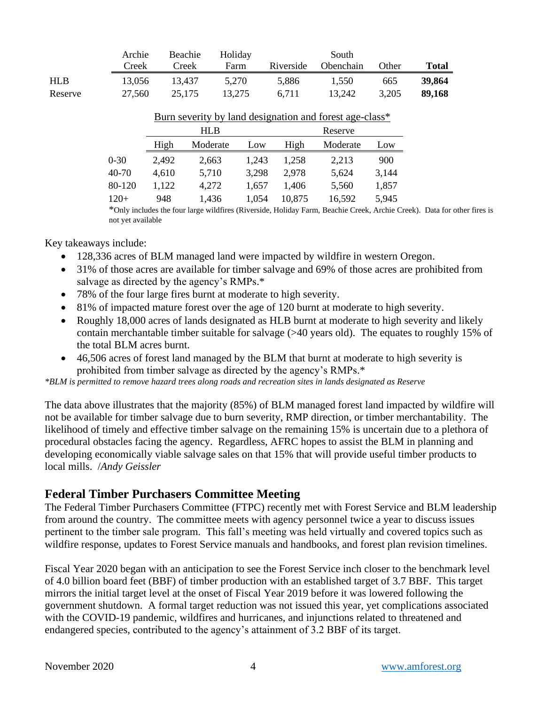|            | Archie | Beachie | Holiday | South     |                  |       |        |
|------------|--------|---------|---------|-----------|------------------|-------|--------|
|            | Creek  | Creek   | Farm    | Riverside | <b>Obenchain</b> | Other | Total  |
| <b>HLB</b> | 13.056 | 13.437  | 5.270   | 5.886     | 1.550            | 665   | 39.864 |
| Reserve    | 27,560 | 25.175  | 13.275  | 6.711     | 13,242           | 3.205 | 89.168 |

|          |       | HLB      |       |        | Reserve  |       |
|----------|-------|----------|-------|--------|----------|-------|
|          | High  | Moderate | Low   | High   | Moderate | Low   |
| $0 - 30$ | 2,492 | 2,663    | 1.243 | 1,258  | 2,213    | 900   |
| 40-70    | 4,610 | 5,710    | 3,298 | 2,978  | 5,624    | 3,144 |
| 80-120   | 1,122 | 4,272    | 1.657 | 1.406  | 5,560    | 1,857 |
| $120+$   | 948   | 1,436    | 1.054 | 10,875 | 16,592   | 5,945 |

#### Burn severity by land designation and forest age-class\*

\*Only includes the four large wildfires (Riverside, Holiday Farm, Beachie Creek, Archie Creek). Data for other fires is not yet available

Key takeaways include:

- 128,336 acres of BLM managed land were impacted by wildfire in western Oregon.
- 31% of those acres are available for timber salvage and 69% of those acres are prohibited from salvage as directed by the agency's RMPs.\*
- 78% of the four large fires burnt at moderate to high severity.
- 81% of impacted mature forest over the age of 120 burnt at moderate to high severity.
- Roughly 18,000 acres of lands designated as HLB burnt at moderate to high severity and likely contain merchantable timber suitable for salvage (>40 years old). The equates to roughly 15% of the total BLM acres burnt.
- 46,506 acres of forest land managed by the BLM that burnt at moderate to high severity is prohibited from timber salvage as directed by the agency's RMPs.\*

*\*BLM is permitted to remove hazard trees along roads and recreation sites in lands designated as Reserve*

The data above illustrates that the majority (85%) of BLM managed forest land impacted by wildfire will not be available for timber salvage due to burn severity, RMP direction, or timber merchantability. The likelihood of timely and effective timber salvage on the remaining 15% is uncertain due to a plethora of procedural obstacles facing the agency. Regardless, AFRC hopes to assist the BLM in planning and developing economically viable salvage sales on that 15% that will provide useful timber products to local mills. /*Andy Geissler*

### **Federal Timber Purchasers Committee Meeting**

The Federal Timber Purchasers Committee (FTPC) recently met with Forest Service and BLM leadership from around the country. The committee meets with agency personnel twice a year to discuss issues pertinent to the timber sale program. This fall's meeting was held virtually and covered topics such as wildfire response, updates to Forest Service manuals and handbooks, and forest plan revision timelines.

Fiscal Year 2020 began with an anticipation to see the Forest Service inch closer to the benchmark level of 4.0 billion board feet (BBF) of timber production with an established target of 3.7 BBF. This target mirrors the initial target level at the onset of Fiscal Year 2019 before it was lowered following the government shutdown. A formal target reduction was not issued this year, yet complications associated with the COVID-19 pandemic, wildfires and hurricanes, and injunctions related to threatened and endangered species, contributed to the agency's attainment of 3.2 BBF of its target.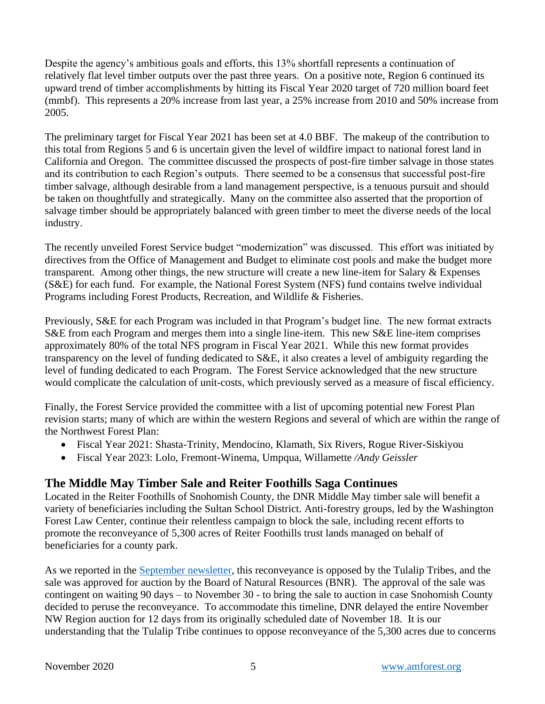Despite the agency's ambitious goals and efforts, this 13% shortfall represents a continuation of relatively flat level timber outputs over the past three years. On a positive note, Region 6 continued its upward trend of timber accomplishments by hitting its Fiscal Year 2020 target of 720 million board feet (mmbf). This represents a 20% increase from last year, a 25% increase from 2010 and 50% increase from 2005.

The preliminary target for Fiscal Year 2021 has been set at 4.0 BBF. The makeup of the contribution to this total from Regions 5 and 6 is uncertain given the level of wildfire impact to national forest land in California and Oregon. The committee discussed the prospects of post-fire timber salvage in those states and its contribution to each Region's outputs. There seemed to be a consensus that successful post-fire timber salvage, although desirable from a land management perspective, is a tenuous pursuit and should be taken on thoughtfully and strategically. Many on the committee also asserted that the proportion of salvage timber should be appropriately balanced with green timber to meet the diverse needs of the local industry.

The recently unveiled Forest Service budget "modernization" was discussed. This effort was initiated by directives from the Office of Management and Budget to eliminate cost pools and make the budget more transparent. Among other things, the new structure will create a new line-item for Salary & Expenses (S&E) for each fund. For example, the National Forest System (NFS) fund contains twelve individual Programs including Forest Products, Recreation, and Wildlife & Fisheries.

Previously, S&E for each Program was included in that Program's budget line. The new format extracts S&E from each Program and merges them into a single line-item. This new S&E line-item comprises approximately 80% of the total NFS program in Fiscal Year 2021. While this new format provides transparency on the level of funding dedicated to S&E, it also creates a level of ambiguity regarding the level of funding dedicated to each Program. The Forest Service acknowledged that the new structure would complicate the calculation of unit-costs, which previously served as a measure of fiscal efficiency.

Finally, the Forest Service provided the committee with a list of upcoming potential new Forest Plan revision starts; many of which are within the western Regions and several of which are within the range of the Northwest Forest Plan:

- Fiscal Year 2021: Shasta-Trinity, Mendocino, Klamath, Six Rivers, Rogue River-Siskiyou
- Fiscal Year 2023: Lolo, Fremont-Winema, Umpqua, Willamette */Andy Geissler*

# **The Middle May Timber Sale and Reiter Foothills Saga Continues**

Located in the Reiter Foothills of Snohomish County, the DNR Middle May timber sale will benefit a variety of beneficiaries including the Sultan School District. Anti-forestry groups, led by the Washington Forest Law Center, continue their relentless campaign to block the sale, including recent efforts to promote the reconveyance of 5,300 acres of Reiter Foothills trust lands managed on behalf of beneficiaries for a county park.

As we reported in the [September](https://amforest.org/wp-content/uploads/2020/10/September-2020-Newsletter.pdf) newsletter, this reconveyance is opposed by the Tulalip Tribes, and the sale was approved for auction by the Board of Natural Resources (BNR). The approval of the sale was contingent on waiting 90 days – to November 30 - to bring the sale to auction in case Snohomish County decided to peruse the reconveyance. To accommodate this timeline, DNR delayed the entire November NW Region auction for 12 days from its originally scheduled date of November 18. It is our understanding that the Tulalip Tribe continues to oppose reconveyance of the 5,300 acres due to concerns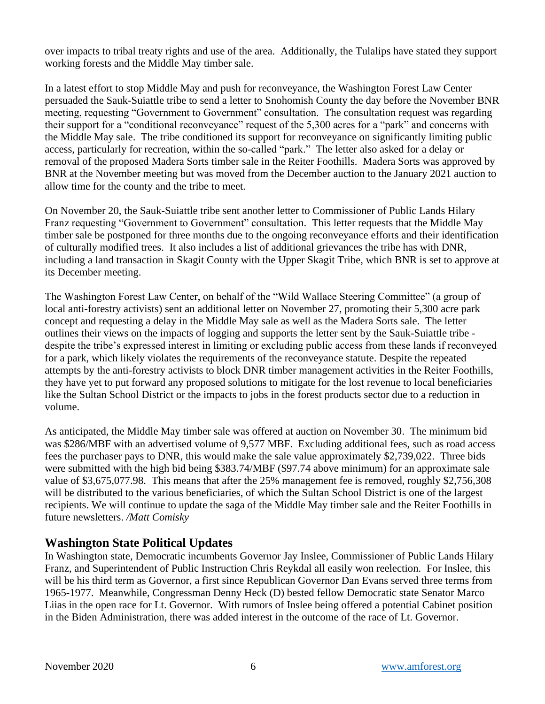over impacts to tribal treaty rights and use of the area. Additionally, the Tulalips have stated they support working forests and the Middle May timber sale.

In a latest effort to stop Middle May and push for reconveyance, the Washington Forest Law Center persuaded the Sauk-Suiattle tribe to send a letter to Snohomish County the day before the November BNR meeting, requesting "Government to Government" consultation. The consultation request was regarding their support for a "conditional reconveyance" request of the 5,300 acres for a "park" and concerns with the Middle May sale. The tribe conditioned its support for reconveyance on significantly limiting public access, particularly for recreation, within the so-called "park." The letter also asked for a delay or removal of the proposed Madera Sorts timber sale in the Reiter Foothills. Madera Sorts was approved by BNR at the November meeting but was moved from the December auction to the January 2021 auction to allow time for the county and the tribe to meet.

On November 20, the Sauk-Suiattle tribe sent another letter to Commissioner of Public Lands Hilary Franz requesting "Government to Government" consultation. This letter requests that the Middle May timber sale be postponed for three months due to the ongoing reconveyance efforts and their identification of culturally modified trees. It also includes a list of additional grievances the tribe has with DNR, including a land transaction in Skagit County with the Upper Skagit Tribe, which BNR is set to approve at its December meeting.

The Washington Forest Law Center, on behalf of the "Wild Wallace Steering Committee" (a group of local anti-forestry activists) sent an additional letter on November 27, promoting their 5,300 acre park concept and requesting a delay in the Middle May sale as well as the Madera Sorts sale. The letter outlines their views on the impacts of logging and supports the letter sent by the Sauk-Suiattle tribe despite the tribe's expressed interest in limiting or excluding public access from these lands if reconveyed for a park, which likely violates the requirements of the reconveyance statute. Despite the repeated attempts by the anti-forestry activists to block DNR timber management activities in the Reiter Foothills, they have yet to put forward any proposed solutions to mitigate for the lost revenue to local beneficiaries like the Sultan School District or the impacts to jobs in the forest products sector due to a reduction in volume.

As anticipated, the Middle May timber sale was offered at auction on November 30. The minimum bid was \$286/MBF with an advertised volume of 9,577 MBF. Excluding additional fees, such as road access fees the purchaser pays to DNR, this would make the sale value approximately \$2,739,022. Three bids were submitted with the high bid being \$383.74/MBF (\$97.74 above minimum) for an approximate sale value of \$3,675,077.98. This means that after the 25% management fee is removed, roughly \$2,756,308 will be distributed to the various beneficiaries, of which the Sultan School District is one of the largest recipients. We will continue to update the saga of the Middle May timber sale and the Reiter Foothills in future newsletters. */Matt Comisky*

## **Washington State Political Updates**

In Washington state, Democratic incumbents Governor Jay Inslee, Commissioner of Public Lands Hilary Franz, and Superintendent of Public Instruction Chris Reykdal all easily won reelection. For Inslee, this will be his third term as Governor, a first since Republican Governor Dan Evans served three terms from 1965-1977. Meanwhile, Congressman Denny Heck (D) bested fellow Democratic state Senator Marco Liias in the open race for Lt. Governor. With rumors of Inslee being offered a potential Cabinet position in the Biden Administration, there was added interest in the outcome of the race of Lt. Governor.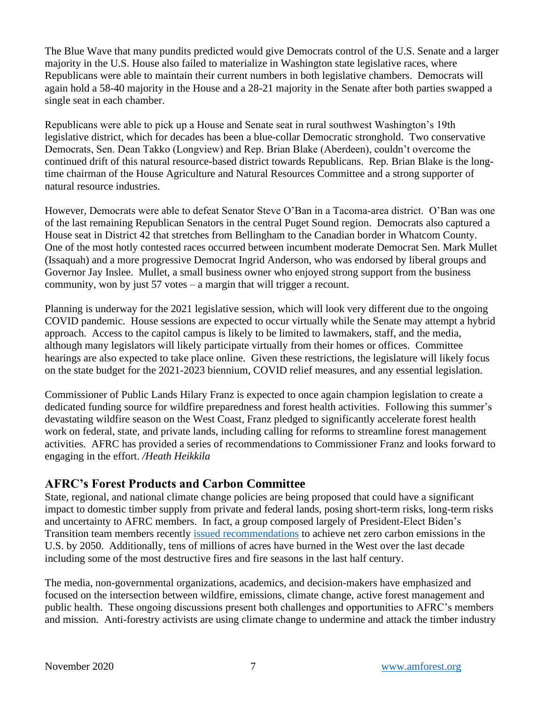The Blue Wave that many pundits predicted would give Democrats control of the U.S. Senate and a larger majority in the U.S. House also failed to materialize in Washington state legislative races, where Republicans were able to maintain their current numbers in both legislative chambers. Democrats will again hold a 58-40 majority in the House and a 28-21 majority in the Senate after both parties swapped a single seat in each chamber.

Republicans were able to pick up a House and Senate seat in rural southwest Washington's 19th legislative district, which for decades has been a blue-collar Democratic stronghold. Two conservative Democrats, Sen. Dean Takko (Longview) and Rep. Brian Blake (Aberdeen), couldn't overcome the continued drift of this natural resource-based district towards Republicans. Rep. Brian Blake is the longtime chairman of the House Agriculture and Natural Resources Committee and a strong supporter of natural resource industries.

However, Democrats were able to defeat Senator Steve O'Ban in a Tacoma-area district. O'Ban was one of the last remaining Republican Senators in the central Puget Sound region. Democrats also captured a House seat in District 42 that stretches from Bellingham to the Canadian border in Whatcom County. One of the most hotly contested races occurred between incumbent moderate Democrat Sen. Mark Mullet (Issaquah) and a more progressive Democrat Ingrid Anderson, who was endorsed by liberal groups and Governor Jay Inslee. Mullet, a small business owner who enjoyed strong support from the business community, won by just 57 votes – a margin that will trigger a recount.

Planning is underway for the 2021 legislative session, which will look very different due to the ongoing COVID pandemic. House sessions are expected to occur virtually while the Senate may attempt a hybrid approach. Access to the capitol campus is likely to be limited to lawmakers, staff, and the media, although many legislators will likely participate virtually from their homes or offices. Committee hearings are also expected to take place online. Given these restrictions, the legislature will likely focus on the state budget for the 2021-2023 biennium, COVID relief measures, and any essential legislation.

Commissioner of Public Lands Hilary Franz is expected to once again champion legislation to create a dedicated funding source for wildfire preparedness and forest health activities. Following this summer's devastating wildfire season on the West Coast, Franz pledged to significantly accelerate forest health work on federal, state, and private lands, including calling for reforms to streamline forest management activities. AFRC has provided a series of recommendations to Commissioner Franz and looks forward to engaging in the effort. */Heath Heikkila*

## **AFRC's Forest Products and Carbon Committee**

State, regional, and national climate change policies are being proposed that could have a significant impact to domestic timber supply from private and federal lands, posing short-term risks, long-term risks and uncertainty to AFRC members. In fact, a group composed largely of President-Elect Biden's Transition team members recently [issued recommendations](https://climate21.org/documents/C21_Summary.pdf) to achieve net zero carbon emissions in the U.S. by 2050. Additionally, tens of millions of acres have burned in the West over the last decade including some of the most destructive fires and fire seasons in the last half century.

The media, non-governmental organizations, academics, and decision-makers have emphasized and focused on the intersection between wildfire, emissions, climate change, active forest management and public health. These ongoing discussions present both challenges and opportunities to AFRC's members and mission. Anti-forestry activists are using climate change to undermine and attack the timber industry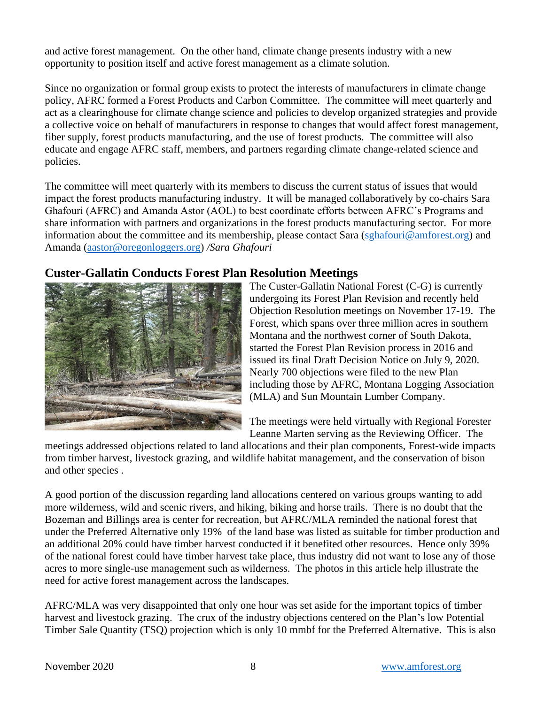and active forest management. On the other hand, climate change presents industry with a new opportunity to position itself and active forest management as a climate solution.

Since no organization or formal group exists to protect the interests of manufacturers in climate change policy, AFRC formed a Forest Products and Carbon Committee. The committee will meet quarterly and act as a clearinghouse for climate change science and policies to develop organized strategies and provide a collective voice on behalf of manufacturers in response to changes that would affect forest management, fiber supply, forest products manufacturing, and the use of forest products. The committee will also educate and engage AFRC staff, members, and partners regarding climate change-related science and policies.

The committee will meet quarterly with its members to discuss the current status of issues that would impact the forest products manufacturing industry. It will be managed collaboratively by co-chairs Sara Ghafouri (AFRC) and Amanda Astor (AOL) to best coordinate efforts between AFRC's Programs and share information with partners and organizations in the forest products manufacturing sector. For more information about the committee and its membership, please contact Sara [\(sghafouri@amforest.org\)](mailto:sghafouri@amforest.org) and Amanda [\(aastor@oregonloggers.org\)](mailto:aastor@oregonloggers.org) */Sara Ghafouri*

## **Custer-Gallatin Conducts Forest Plan Resolution Meetings**



The Custer-Gallatin National Forest (C-G) is currently undergoing its Forest Plan Revision and recently held Objection Resolution meetings on November 17-19. The Forest, which spans over three million acres in southern Montana and the northwest corner of South Dakota, started the Forest Plan Revision process in 2016 and issued its final Draft Decision Notice on July 9, 2020. Nearly 700 objections were filed to the new Plan including those by AFRC, Montana Logging Association (MLA) and Sun Mountain Lumber Company.

The meetings were held virtually with Regional Forester Leanne Marten serving as the Reviewing Officer. The

meetings addressed objections related to land allocations and their plan components, Forest-wide impacts from timber harvest, livestock grazing, and wildlife habitat management, and the conservation of bison and other species .

A good portion of the discussion regarding land allocations centered on various groups wanting to add more wilderness, wild and scenic rivers, and hiking, biking and horse trails. There is no doubt that the Bozeman and Billings area is center for recreation, but AFRC/MLA reminded the national forest that under the Preferred Alternative only 19% of the land base was listed as suitable for timber production and an additional 20% could have timber harvest conducted if it benefited other resources. Hence only 39% of the national forest could have timber harvest take place, thus industry did not want to lose any of those acres to more single-use management such as wilderness. The photos in this article help illustrate the need for active forest management across the landscapes.

AFRC/MLA was very disappointed that only one hour was set aside for the important topics of timber harvest and livestock grazing. The crux of the industry objections centered on the Plan's low Potential Timber Sale Quantity (TSQ) projection which is only 10 mmbf for the Preferred Alternative. This is also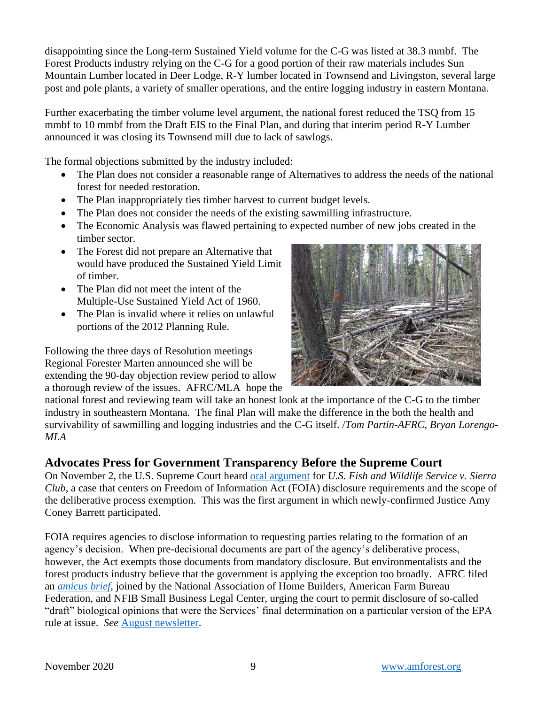disappointing since the Long-term Sustained Yield volume for the C-G was listed at 38.3 mmbf. The Forest Products industry relying on the C-G for a good portion of their raw materials includes Sun Mountain Lumber located in Deer Lodge, R-Y lumber located in Townsend and Livingston, several large post and pole plants, a variety of smaller operations, and the entire logging industry in eastern Montana.

Further exacerbating the timber volume level argument, the national forest reduced the TSQ from 15 mmbf to 10 mmbf from the Draft EIS to the Final Plan, and during that interim period R-Y Lumber announced it was closing its Townsend mill due to lack of sawlogs.

The formal objections submitted by the industry included:

- The Plan does not consider a reasonable range of Alternatives to address the needs of the national forest for needed restoration.
- The Plan inappropriately ties timber harvest to current budget levels.
- The Plan does not consider the needs of the existing sawmilling infrastructure.
- The Economic Analysis was flawed pertaining to expected number of new jobs created in the timber sector.
- The Forest did not prepare an Alternative that would have produced the Sustained Yield Limit of timber.
- The Plan did not meet the intent of the Multiple-Use Sustained Yield Act of 1960.
- The Plan is invalid where it relies on unlawful portions of the 2012 Planning Rule.

Following the three days of Resolution meetings Regional Forester Marten announced she will be extending the 90-day objection review period to allow a thorough review of the issues. AFRC/MLA hope the



national forest and reviewing team will take an honest look at the importance of the C-G to the timber industry in southeastern Montana. The final Plan will make the difference in the both the health and survivability of sawmilling and logging industries and the C-G itself. /*Tom Partin-AFRC, Bryan Lorengo-MLA*

## **Advocates Press for Government Transparency Before the Supreme Court**

On November 2, the U.S. Supreme Court heard [oral argument](https://www.supremecourt.gov/oral_arguments/argument_transcripts/2020/19-547_c07d.pdf) for *U.S. Fish and Wildlife Service v. Sierra Club*, a case that centers on Freedom of Information Act (FOIA) disclosure requirements and the scope of the deliberative process exemption. This was the first argument in which newly-confirmed Justice Amy Coney Barrett participated.

FOIA requires agencies to disclose information to requesting parties relating to the formation of an agency's decision. When pre-decisional documents are part of the agency's deliberative process, however, the Act exempts those documents from mandatory disclosure. But environmentalists and the forest products industry believe that the government is applying the exception too broadly. AFRC filed an *[amicus brief](https://www.supremecourt.gov/DocketPDF/19/19-547/149256/20200803131302676_AFRC%20et%20al%20Amicus%20Brief.pdf)*, joined by the National Association of Home Builders, American Farm Bureau Federation, and NFIB Small Business Legal Center, urging the court to permit disclosure of so-called "draft" biological opinions that were the Services' final determination on a particular version of the EPA rule at issue. *See* [August newsletter.](https://amforest.org/wp-content/uploads/2020/09/August-2020-Newsletter.pdf)